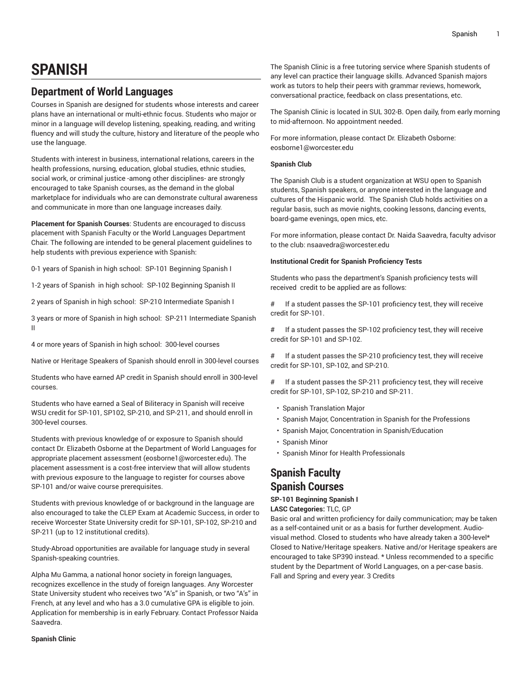# **SPANISH**

# **Department of World Languages**

Courses in Spanish are designed for students whose interests and career plans have an international or multi-ethnic focus. Students who major or minor in a language will develop listening, speaking, reading, and writing fluency and will study the culture, history and literature of the people who use the language.

Students with interest in business, international relations, careers in the health professions, nursing, education, global studies, ethnic studies, social work, or criminal justice -among other disciplines- are strongly encouraged to take Spanish courses, as the demand in the global marketplace for individuals who are can demonstrate cultural awareness and communicate in more than one language increases daily.

**Placement for Spanish Courses**: Students are encouraged to discuss placement with Spanish Faculty or the World Languages Department Chair. The following are intended to be general placement guidelines to help students with previous experience with Spanish:

0-1 years of Spanish in high school: SP-101 Beginning Spanish I

1-2 years of Spanish in high school: SP-102 Beginning Spanish II

2 years of Spanish in high school: SP-210 Intermediate Spanish I

3 years or more of Spanish in high school: SP-211 Intermediate Spanish II

4 or more years of Spanish in high school: 300-level courses

Native or Heritage Speakers of Spanish should enroll in 300-level courses

Students who have earned AP credit in Spanish should enroll in 300-level courses.

Students who have earned a Seal of Biliteracy in Spanish will receive WSU credit for SP-101, SP102, SP-210, and SP-211, and should enroll in 300-level courses.

Students with previous knowledge of or exposure to Spanish should contact Dr. Elizabeth Osborne at the Department of World Languages for appropriate placement assessment (eosborne1@worcester.edu). The placement assessment is a cost-free interview that will allow students with previous exposure to the language to register for courses above [SP-101](/search/?P=SP-101) and/or waive course prerequisites.

Students with previous knowledge of or background in the language are also encouraged to take the CLEP Exam at Academic Success, in order to receive Worcester State University credit for [SP-101](/search/?P=SP-101), [SP-102,](/search/?P=SP-102) [SP-210](/search/?P=SP-210) and [SP-211](/search/?P=SP-211) (up to 12 institutional credits).

Study-Abroad opportunities are available for language study in several Spanish-speaking countries.

Alpha Mu Gamma, a national honor society in foreign languages, recognizes excellence in the study of foreign languages. Any Worcester State University student who receives two "A's" in Spanish, or two "A's" in French, at any level and who has a 3.0 cumulative GPA is eligible to join. Application for membership is in early February. Contact Professor Naida Saavedra.

The Spanish Clinic is a free tutoring service where Spanish students of any level can practice their language skills. Advanced Spanish majors work as tutors to help their peers with grammar reviews, homework, conversational practice, feedback on class presentations, etc.

The Spanish Clinic is located in SUL 302-B. Open daily, from early morning to mid-afternoon. No appointment needed.

For more information, please contact Dr. Elizabeth Osborne: eosborne1@worcester.edu

## **Spanish Club**

The Spanish Club is a student organization at WSU open to Spanish students, Spanish speakers, or anyone interested in the language and cultures of the Hispanic world. The Spanish Club holds activities on a regular basis, such as movie nights, cooking lessons, dancing events, board-game evenings, open mics, etc.

For more information, please contact Dr. Naida Saavedra, faculty advisor to the club: nsaavedra@worcester.edu

## **Institutional Credit for Spanish Proficiency Tests**

Students who pass the department's Spanish proficiency tests will received credit to be applied are as follows:

# If a student passes the SP-101 proficiency test, they will receive credit for SP-101.

# If a student passes the SP-102 proficiency test, they will receive credit for SP-101 and SP-102.

# If a student passes the SP-210 proficiency test, they will receive credit for SP-101, SP-102, and SP-210.

# If a student passes the SP-211 proficiency test, they will receive credit for SP-101, SP-102, SP-210 and SP-211.

- Spanish [Translation](http://catalog.worcester.edu/undergraduate/school-humanities-social-sciences/spanish/major-spanish/) Major
- Spanish Major, [Concentration](http://catalog.worcester.edu/undergraduate/school-humanities-social-sciences/spanish/major-spanish-concentration-spanish-professions/) in Spanish for the Professions
- Spanish Major, Concentration in [Spanish/Education](http://catalog.worcester.edu/undergraduate/school-humanities-social-sciences/spanish/major-spanish-concentration-spanish-education/)
- [Spanish Minor](http://catalog.worcester.edu/undergraduate/school-humanities-social-sciences/spanish/spanish-minor/)
- Spanish Minor for Health [Professionals](http://catalog.worcester.edu/undergraduate/school-humanities-social-sciences/spanish/minor-spanish/)

# **Spanish Faculty Spanish Courses**

# **SP-101 Beginning Spanish I**

**LASC Categories:** TLC, GP

Basic oral and written proficiency for daily communication; may be taken as a self-contained unit or as a basis for further development. Audiovisual method. Closed to students who have already taken a 300-level\* Closed to Native/Heritage speakers. Native and/or Heritage speakers are encouraged to take SP390 instead. \* Unless recommended to a specific student by the Department of World Languages, on a per-case basis. Fall and Spring and every year. 3 Credits

**Spanish Clinic**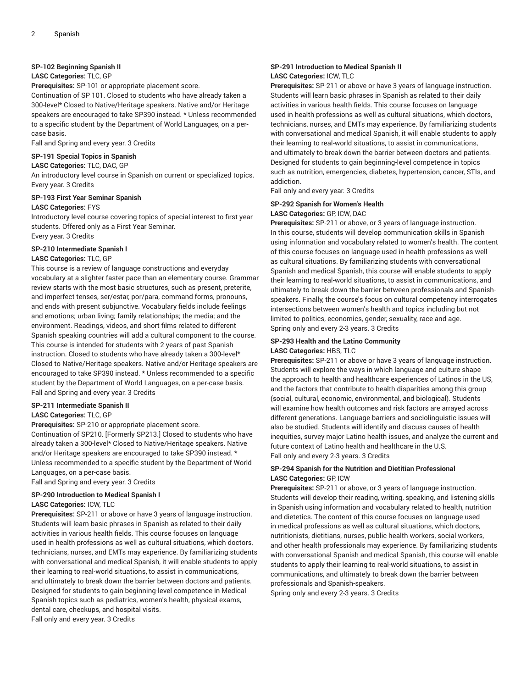## **SP-102 Beginning Spanish II**

## **LASC Categories:** TLC, GP

**Prerequisites:** SP-101 or appropriate placement score.

Continuation of SP 101. Closed to students who have already taken a 300-level\* Closed to Native/Heritage speakers. Native and/or Heritage speakers are encouraged to take SP390 instead. \* Unless recommended to a specific student by the Department of World Languages, on a percase basis.

Fall and Spring and every year. 3 Credits

## **SP-191 Special Topics in Spanish**

**LASC Categories:** TLC, DAC, GP

An introductory level course in Spanish on current or specialized topics. Every year. 3 Credits

#### **SP-193 First Year Seminar Spanish LASC Categories:** FYS

Introductory level course covering topics of special interest to first year students. Offered only as a First Year Seminar. Every year. 3 Credits

## **SP-210 Intermediate Spanish I**

## **LASC Categories:** TLC, GP

This course is a review of language constructions and everyday vocabulary at a slighter faster pace than an elementary course. Grammar review starts with the most basic structures, such as present, preterite, and imperfect tenses, ser/estar, por/para, command forms, pronouns, and ends with present subjunctive. Vocabulary fields include feelings and emotions; urban living; family relationships; the media; and the environment. Readings, videos, and short films related to different Spanish speaking countries will add a cultural component to the course. This course is intended for students with 2 years of past Spanish instruction. Closed to students who have already taken a 300-level\* Closed to Native/Heritage speakers. Native and/or Heritage speakers are encouraged to take SP390 instead. \* Unless recommended to a specific student by the Department of World Languages, on a per-case basis. Fall and Spring and every year. 3 Credits

## **SP-211 Intermediate Spanish II**

#### **LASC Categories:** TLC, GP

**Prerequisites:** SP-210 or appropriate placement score. Continuation of SP210. [Formerly SP213.] Closed to students who have already taken a 300-level\* Closed to Native/Heritage speakers. Native and/or Heritage speakers are encouraged to take SP390 instead. \* Unless recommended to a specific student by the Department of World Languages, on a per-case basis.

Fall and Spring and every year. 3 Credits

# **SP-290 Introduction to Medical Spanish I**

## **LASC Categories:** ICW, TLC

**Prerequisites:** SP-211 or above or have 3 years of language instruction. Students will learn basic phrases in Spanish as related to their daily activities in various health fields. This course focuses on language used in health professions as well as cultural situations, which doctors, technicians, nurses, and EMTs may experience. By familiarizing students with conversational and medical Spanish, it will enable students to apply their learning to real-world situations, to assist in communications, and ultimately to break down the barrier between doctors and patients. Designed for students to gain beginning-level competence in Medical Spanish topics such as pediatrics, women's health, physical exams, dental care, checkups, and hospital visits.

Fall only and every year. 3 Credits

## **SP-291 Introduction to Medical Spanish II LASC Categories:** ICW, TLC

**Prerequisites:** SP-211 or above or have 3 years of language instruction. Students will learn basic phrases in Spanish as related to their daily activities in various health fields. This course focuses on language used in health professions as well as cultural situations, which doctors, technicians, nurses, and EMTs may experience. By familiarizing students with conversational and medical Spanish, it will enable students to apply their learning to real-world situations, to assist in communications, and ultimately to break down the barrier between doctors and patients. Designed for students to gain beginning-level competence in topics such as nutrition, emergencies, diabetes, hypertension, cancer, STIs, and addiction.

Fall only and every year. 3 Credits

#### **SP-292 Spanish for Women's Health**

## **LASC Categories:** GP, ICW, DAC

**Prerequisites:** SP-211 or above, or 3 years of language instruction. In this course, students will develop communication skills in Spanish using information and vocabulary related to women's health. The content of this course focuses on language used in health professions as well as cultural situations. By familiarizing students with conversational Spanish and medical Spanish, this course will enable students to apply their learning to real-world situations, to assist in communications, and ultimately to break down the barrier between professionals and Spanishspeakers. Finally, the course's focus on cultural competency interrogates intersections between women's health and topics including but not limited to politics, economics, gender, sexuality, race and age. Spring only and every 2-3 years. 3 Credits

#### **SP-293 Health and the Latino Community LASC Categories:** HBS, TLC

**Prerequisites:** SP-211 or above or have 3 years of language instruction. Students will explore the ways in which language and culture shape the approach to health and healthcare experiences of Latinos in the US, and the factors that contribute to health disparities among this group (social, cultural, economic, environmental, and biological). Students will examine how health outcomes and risk factors are arrayed across different generations. Language barriers and sociolinguistic issues will also be studied. Students will identify and discuss causes of health inequities, survey major Latino health issues, and analyze the current and future context of Latino health and healthcare in the U.S. Fall only and every 2-3 years. 3 Credits

## **SP-294 Spanish for the Nutrition and Dietitian Professional LASC Categories:** GP, ICW

**Prerequisites:** SP-211 or above, or 3 years of language instruction. Students will develop their reading, writing, speaking, and listening skills in Spanish using information and vocabulary related to health, nutrition and dietetics. The content of this course focuses on language used in medical professions as well as cultural situations, which doctors, nutritionists, dietitians, nurses, public health workers, social workers, and other health professionals may experience. By familiarizing students with conversational Spanish and medical Spanish, this course will enable students to apply their learning to real-world situations, to assist in communications, and ultimately to break down the barrier between professionals and Spanish-speakers.

Spring only and every 2-3 years. 3 Credits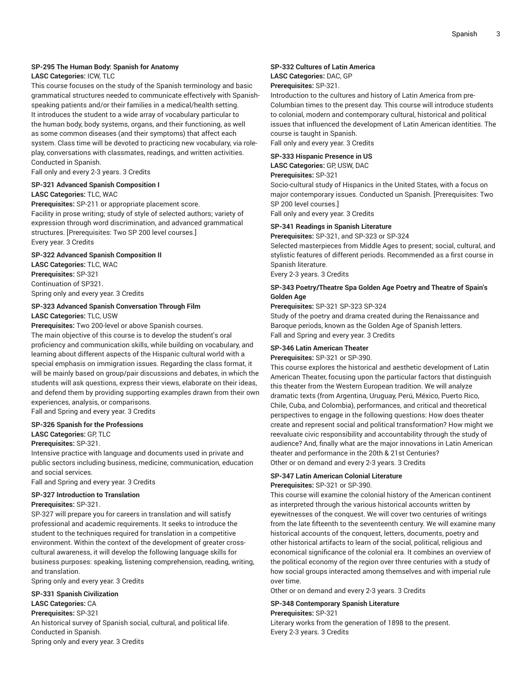#### **SP-295 The Human Body: Spanish for Anatomy**

## **LASC Categories:** ICW, TLC

This course focuses on the study of the Spanish terminology and basic grammatical structures needed to communicate effectively with Spanishspeaking patients and/or their families in a medical/health setting. It introduces the student to a wide array of vocabulary particular to the human body, body systems, organs, and their functioning, as well as some common diseases (and their symptoms) that affect each system. Class time will be devoted to practicing new vocabulary, via roleplay, conversations with classmates, readings, and written activities. Conducted in Spanish.

Fall only and every 2-3 years. 3 Credits

## **SP-321 Advanced Spanish Composition I LASC Categories:** TLC, WAC

**Prerequisites:** SP-211 or appropriate placement score. Facility in prose writing; study of style of selected authors; variety of expression through word discrimination, and advanced grammatical structures. [Prerequisites: Two SP 200 level courses.] Every year. 3 Credits

#### **SP-322 Advanced Spanish Composition II**

**LASC Categories:** TLC, WAC **Prerequisites:** SP-321 Continuation of SP321. Spring only and every year. 3 Credits

## **SP-323 Advanced Spanish Conversation Through Film LASC Categories:** TLC, USW

**Prerequisites:** Two 200-level or above Spanish courses.

The main objective of this course is to develop the student's oral proficiency and communication skills, while building on vocabulary, and learning about different aspects of the Hispanic cultural world with a special emphasis on immigration issues. Regarding the class format, it will be mainly based on group/pair discussions and debates, in which the students will ask questions, express their views, elaborate on their ideas, and defend them by providing supporting examples drawn from their own experiences, analysis, or comparisons.

Fall and Spring and every year. 3 Credits

## **SP-326 Spanish for the Professions**

**LASC Categories:** GP, TLC

#### **Prerequisites:** SP-321.

Intensive practice with language and documents used in private and public sectors including business, medicine, communication, education and social services.

Fall and Spring and every year. 3 Credits

# **SP-327 Introduction to Translation**

#### **Prerequisites:** SP-321.

SP-327 will prepare you for careers in translation and will satisfy professional and academic requirements. It seeks to introduce the student to the techniques required for translation in a competitive environment. Within the context of the development of greater crosscultural awareness, it will develop the following language skills for business purposes: speaking, listening comprehension, reading, writing, and translation.

Spring only and every year. 3 Credits

## **SP-331 Spanish Civilization LASC Categories:** CA

**Prerequisites:** SP-321

An historical survey of Spanish social, cultural, and political life. Conducted in Spanish.

Spring only and every year. 3 Credits

## **SP-332 Cultures of Latin America**

## **LASC Categories:** DAC, GP

#### **Prerequisites:** SP-321.

Introduction to the cultures and history of Latin America from pre-Columbian times to the present day. This course will introduce students to colonial, modern and contemporary cultural, historical and political issues that influenced the development of Latin American identities. The course is taught in Spanish.

Fall only and every year. 3 Credits

#### **SP-333 Hispanic Presence in US LASC Categories:** GP, USW, DAC

# **Prerequisites:** SP-321

Socio-cultural study of Hispanics in the United States, with a focus on major contemporary issues. Conducted un Spanish. [Prerequisites: Two SP 200 level courses.]

Fall only and every year. 3 Credits

## **SP-341 Readings in Spanish Literature**

**Prerequisites:** SP-321, and SP-323 or SP-324

Selected masterpieces from Middle Ages to present; social, cultural, and stylistic features of different periods. Recommended as a first course in Spanish literature.

Every 2-3 years. 3 Credits

## **SP-343 Poetry/Theatre Spa Golden Age Poetry and Theatre of Spain's Golden Age**

**Prerequisites:** SP-321 SP-323 SP-324

Study of the poetry and drama created during the Renaissance and Baroque periods, known as the Golden Age of Spanish letters. Fall and Spring and every year. 3 Credits

#### **SP-346 Latin American Theater**

**Prerequisites:** SP-321 or SP-390.

This course explores the historical and aesthetic development of Latin American Theater, focusing upon the particular factors that distinguish this theater from the Western European tradition. We will analyze dramatic texts (from Argentina, Uruguay, Perú, México, Puerto Rico, Chile, Cuba, and Colombia), performances, and critical and theoretical perspectives to engage in the following questions: How does theater create and represent social and political transformation? How might we reevaluate civic responsibility and accountability through the study of audience? And, finally what are the major innovations in Latin American theater and performance in the 20th & 21st Centuries? Other or on demand and every 2-3 years. 3 Credits

## **SP-347 Latin American Colonial Literature**

#### **Prerequisites:** SP-321 or SP-390.

This course will examine the colonial history of the American continent as interpreted through the various historical accounts written by eyewitnesses of the conquest. We will cover two centuries of writings from the late fifteenth to the seventeenth century. We will examine many historical accounts of the conquest, letters, documents, poetry and other historical artifacts to learn of the social, political, religious and economical significance of the colonial era. It combines an overview of the political economy of the region over three centuries with a study of how social groups interacted among themselves and with imperial rule over time.

Other or on demand and every 2-3 years. 3 Credits

# **SP-348 Contemporary Spanish Literature**

## **Prerequisites:** SP-321

Literary works from the generation of 1898 to the present. Every 2-3 years. 3 Credits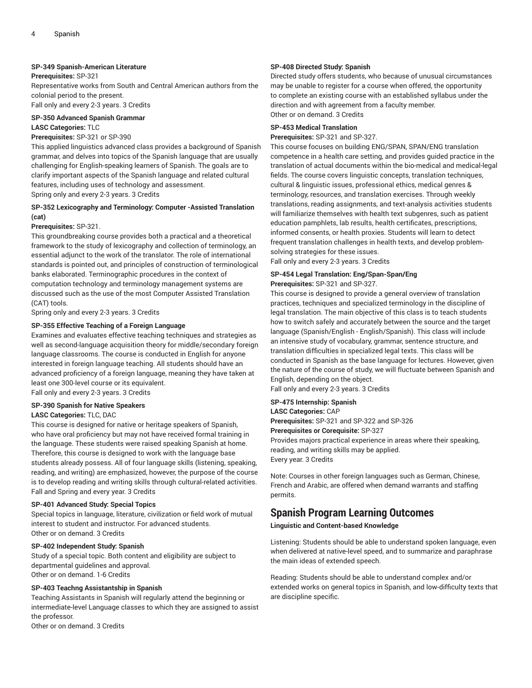## **SP-349 Spanish-American Literature**

## **Prerequisites:** SP-321

Representative works from South and Central American authors from the colonial period to the present.

Fall only and every 2-3 years. 3 Credits

# **SP-350 Advanced Spanish Grammar**

## **LASC Categories:** TLC

## **Prerequisites:** SP-321 or SP-390

This applied linguistics advanced class provides a background of Spanish grammar, and delves into topics of the Spanish language that are usually challenging for English-speaking learners of Spanish. The goals are to clarify important aspects of the Spanish language and related cultural features, including uses of technology and assessment. Spring only and every 2-3 years. 3 Credits

## **SP-352 Lexicography and Terminology: Computer -Assisted Translation (cat)**

#### **Prerequisites:** SP-321.

This groundbreaking course provides both a practical and a theoretical framework to the study of lexicography and collection of terminology, an essential adjunct to the work of the translator. The role of international standards is pointed out, and principles of construction of terminological banks elaborated. Terminographic procedures in the context of computation technology and terminology management systems are discussed such as the use of the most Computer Assisted Translation (CAT) tools.

Spring only and every 2-3 years. 3 Credits

#### **SP-355 Effective Teaching of a Foreign Language**

Examines and evaluates effective teaching techniques and strategies as well as second-language acquisition theory for middle/secondary foreign language classrooms. The course is conducted in English for anyone interested in foreign language teaching. All students should have an advanced proficiency of a foreign language, meaning they have taken at least one 300-level course or its equivalent. Fall only and every 2-3 years. 3 Credits

# **SP-390 Spanish for Native Speakers**

## **LASC Categories:** TLC, DAC

This course is designed for native or heritage speakers of Spanish, who have oral proficiency but may not have received formal training in the language. These students were raised speaking Spanish at home. Therefore, this course is designed to work with the language base students already possess. All of four language skills (listening, speaking, reading, and writing) are emphasized, however, the purpose of the course is to develop reading and writing skills through cultural-related activities. Fall and Spring and every year. 3 Credits

#### **SP-401 Advanced Study: Special Topics**

Special topics in language, literature, civilization or field work of mutual interest to student and instructor. For advanced students. Other or on demand. 3 Credits

## **SP-402 Independent Study: Spanish**

Study of a special topic. Both content and eligibility are subject to departmental guidelines and approval. Other or on demand. 1-6 Credits

## **SP-403 Teachng Assistantship in Spanish**

Teaching Assistants in Spanish will regularly attend the beginning or intermediate-level Language classes to which they are assigned to assist the professor. Other or on demand. 3 Credits

## **SP-408 Directed Study: Spanish**

Directed study offers students, who because of unusual circumstances may be unable to register for a course when offered, the opportunity to complete an existing course with an established syllabus under the direction and with agreement from a faculty member. Other or on demand. 3 Credits

## **SP-453 Medical Translation**

**Prerequisites:** SP-321 and SP-327.

This course focuses on building ENG/SPAN, SPAN/ENG translation competence in a health care setting, and provides guided practice in the translation of actual documents within the bio-medical and medical-legal fields. The course covers linguistic concepts, translation techniques, cultural & linguistic issues, professional ethics, medical genres & terminology, resources, and translation exercises. Through weekly translations, reading assignments, and text-analysis activities students will familiarize themselves with health text subgenres, such as patient education pamphlets, lab results, health certificates, prescriptions, informed consents, or health proxies. Students will learn to detect frequent translation challenges in health texts, and develop problemsolving strategies for these issues.

Fall only and every 2-3 years. 3 Credits

# **SP-454 Legal Translation: Eng/Span-Span/Eng**

**Prerequisites:** SP-321 and SP-327.

This course is designed to provide a general overview of translation practices, techniques and specialized terminology in the discipline of legal translation. The main objective of this class is to teach students how to switch safely and accurately between the source and the target language (Spanish/English - English/Spanish). This class will include an intensive study of vocabulary, grammar, sentence structure, and translation difficulties in specialized legal texts. This class will be conducted in Spanish as the base language for lectures. However, given the nature of the course of study, we will fluctuate between Spanish and English, depending on the object.

Fall only and every 2-3 years. 3 Credits

# **SP-475 Internship: Spanish**

## **LASC Categories:** CAP

**Prerequisites:** SP-321 and SP-322 and SP-326

#### **Prerequisites or Corequisite:** SP-327

Provides majors practical experience in areas where their speaking, reading, and writing skills may be applied. Every year. 3 Credits

Note: Courses in other foreign languages such as German, Chinese, French and Arabic, are offered when demand warrants and staffing permits.

# **Spanish Program Learning Outcomes**

**Linguistic and Content-based Knowledge**

Listening: Students should be able to understand spoken language, even when delivered at native-level speed, and to summarize and paraphrase the main ideas of extended speech.

Reading: Students should be able to understand complex and/or extended works on general topics in Spanish, and low-difficulty texts that are discipline specific.